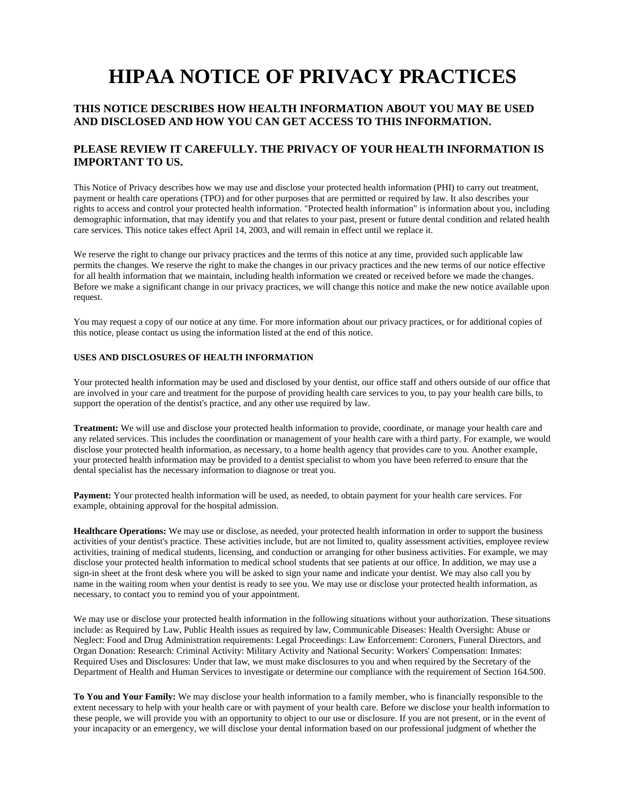# **HIPAA NOTICE OF PRIVACY PRACTICES**

## **THIS NOTICE DESCRIBES HOW HEALTH INFORMATION ABOUT YOU MAY BE USED AND DISCLOSED AND HOW YOU CAN GET ACCESS TO THIS INFORMATION.**

## **PLEASE REVIEW IT CAREFULLY. THE PRIVACY OF YOUR HEALTH INFORMATION IS IMPORTANT TO US.**

This Notice of Privacy describes how we may use and disclose your protected health information (PHI) to carry out treatment, payment or health care operations (TPO) and for other purposes that are permitted or required by law. It also describes your rights to access and control your protected health information. "Protected health information" is information about you, including demographic information, that may identify you and that relates to your past, present or future dental condition and related health care services. This notice takes effect April 14, 2003, and will remain in effect until we replace it.

We reserve the right to change our privacy practices and the terms of this notice at any time, provided such applicable law permits the changes. We reserve the right to make the changes in our privacy practices and the new terms of our notice effective for all health information that we maintain, including health information we created or received before we made the changes. Before we make a significant change in our privacy practices, we will change this notice and make the new notice available upon request.

You may request a copy of our notice at any time. For more information about our privacy practices, or for additional copies of this notice, please contact us using the information listed at the end of this notice.

#### **USES AND DISCLOSURES OF HEALTH INFORMATION**

Your protected health information may be used and disclosed by your dentist, our office staff and others outside of our office that are involved in your care and treatment for the purpose of providing health care services to you, to pay your health care bills, to support the operation of the dentist's practice, and any other use required by law.

**Treatment:** We will use and disclose your protected health information to provide, coordinate, or manage your health care and any related services. This includes the coordination or management of your health care with a third party. For example, we would disclose your protected health information, as necessary, to a home health agency that provides care to you. Another example, your protected health information may be provided to a dentist specialist to whom you have been referred to ensure that the dental specialist has the necessary information to diagnose or treat you.

**Payment:** Your protected health information will be used, as needed, to obtain payment for your health care services. For example, obtaining approval for the hospital admission.

**Healthcare Operations:** We may use or disclose, as needed, your protected health information in order to support the business activities of your dentist's practice. These activities include, but are not limited to, quality assessment activities, employee review activities, training of medical students, licensing, and conduction or arranging for other business activities. For example, we may disclose your protected health information to medical school students that see patients at our office. In addition, we may use a sign-in sheet at the front desk where you will be asked to sign your name and indicate your dentist. We may also call you by name in the waiting room when your dentist is ready to see you. We may use or disclose your protected health information, as necessary, to contact you to remind you of your appointment.

We may use or disclose your protected health information in the following situations without your authorization. These situations include: as Required by Law, Public Health issues as required by law, Communicable Diseases: Health Oversight: Abuse or Neglect: Food and Drug Administration requirements: Legal Proceedings: Law Enforcement: Coroners, Funeral Directors, and Organ Donation: Research: Criminal Activity: Military Activity and National Security: Workers' Compensation: Inmates: Required Uses and Disclosures: Under that law, we must make disclosures to you and when required by the Secretary of the Department of Health and Human Services to investigate or determine our compliance with the requirement of Section 164.500.

**To You and Your Family:** We may disclose your health information to a family member, who is financially responsible to the extent necessary to help with your health care or with payment of your health care. Before we disclose your health information to these people, we will provide you with an opportunity to object to our use or disclosure. If you are not present, or in the event of your incapacity or an emergency, we will disclose your dental information based on our professional judgment of whether the